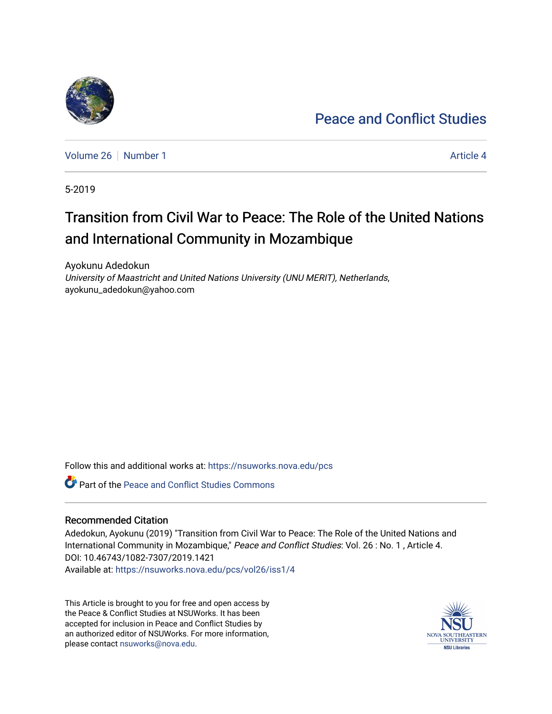## [Peace and Conflict Studies](https://nsuworks.nova.edu/pcs)

[Volume 26](https://nsuworks.nova.edu/pcs/vol26) [Number 1](https://nsuworks.nova.edu/pcs/vol26/iss1) [Article 4](https://nsuworks.nova.edu/pcs/vol26/iss1/4) Article 4

5-2019

# Transition from Civil War to Peace: The Role of the United Nations and International Community in Mozambique

Ayokunu Adedokun University of Maastricht and United Nations University (UNU MERIT), Netherlands, ayokunu\_adedokun@yahoo.com

Follow this and additional works at: [https://nsuworks.nova.edu/pcs](https://nsuworks.nova.edu/pcs?utm_source=nsuworks.nova.edu%2Fpcs%2Fvol26%2Fiss1%2F4&utm_medium=PDF&utm_campaign=PDFCoverPages)

Part of the [Peace and Conflict Studies Commons](http://network.bepress.com/hgg/discipline/397?utm_source=nsuworks.nova.edu%2Fpcs%2Fvol26%2Fiss1%2F4&utm_medium=PDF&utm_campaign=PDFCoverPages) 

## Recommended Citation

Adedokun, Ayokunu (2019) "Transition from Civil War to Peace: The Role of the United Nations and International Community in Mozambique," Peace and Conflict Studies: Vol. 26 : No. 1 , Article 4. DOI: 10.46743/1082-7307/2019.1421 Available at: [https://nsuworks.nova.edu/pcs/vol26/iss1/4](https://nsuworks.nova.edu/pcs/vol26/iss1/4?utm_source=nsuworks.nova.edu%2Fpcs%2Fvol26%2Fiss1%2F4&utm_medium=PDF&utm_campaign=PDFCoverPages)

This Article is brought to you for free and open access by the Peace & Conflict Studies at NSUWorks. It has been accepted for inclusion in Peace and Conflict Studies by an authorized editor of NSUWorks. For more information, please contact [nsuworks@nova.edu](mailto:nsuworks@nova.edu).



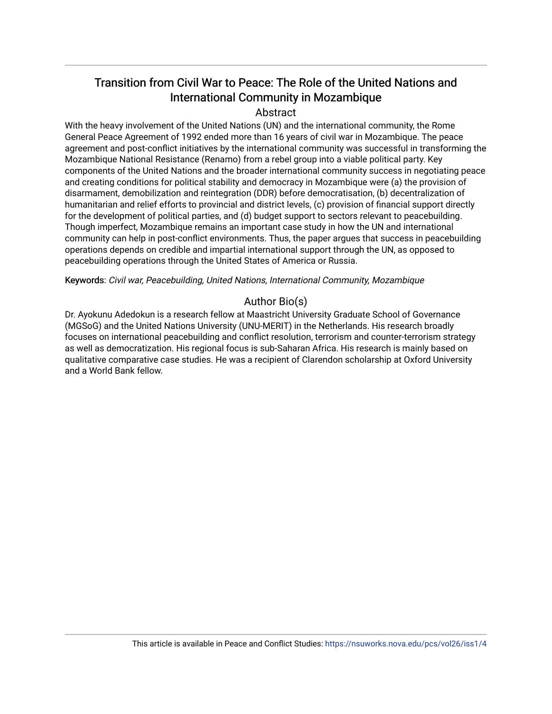## Transition from Civil War to Peace: The Role of the United Nations and International Community in Mozambique

## Abstract

With the heavy involvement of the United Nations (UN) and the international community, the Rome General Peace Agreement of 1992 ended more than 16 years of civil war in Mozambique. The peace agreement and post-conflict initiatives by the international community was successful in transforming the Mozambique National Resistance (Renamo) from a rebel group into a viable political party. Key components of the United Nations and the broader international community success in negotiating peace and creating conditions for political stability and democracy in Mozambique were (a) the provision of disarmament, demobilization and reintegration (DDR) before democratisation, (b) decentralization of humanitarian and relief efforts to provincial and district levels, (c) provision of financial support directly for the development of political parties, and (d) budget support to sectors relevant to peacebuilding. Though imperfect, Mozambique remains an important case study in how the UN and international community can help in post-conflict environments. Thus, the paper argues that success in peacebuilding operations depends on credible and impartial international support through the UN, as opposed to peacebuilding operations through the United States of America or Russia.

Keywords: Civil war, Peacebuilding, United Nations, International Community, Mozambique

## Author Bio(s)

Dr. Ayokunu Adedokun is a research fellow at Maastricht University Graduate School of Governance (MGSoG) and the United Nations University (UNU-MERIT) in the Netherlands. His research broadly focuses on international peacebuilding and conflict resolution, terrorism and counter-terrorism strategy as well as democratization. His regional focus is sub-Saharan Africa. His research is mainly based on qualitative comparative case studies. He was a recipient of Clarendon scholarship at Oxford University and a World Bank fellow.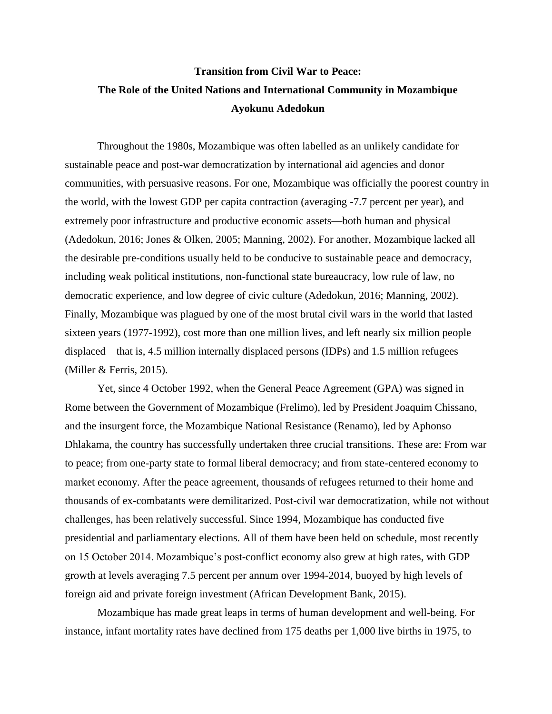## **Transition from Civil War to Peace: The Role of the United Nations and International Community in Mozambique Ayokunu Adedokun**

Throughout the 1980s, Mozambique was often labelled as an unlikely candidate for sustainable peace and post-war democratization by international aid agencies and donor communities, with persuasive reasons. For one, Mozambique was officially the poorest country in the world, with the lowest GDP per capita contraction (averaging -7.7 percent per year), and extremely poor infrastructure and productive economic assets—both human and physical (Adedokun, 2016; Jones & Olken, 2005; Manning, 2002). For another, Mozambique lacked all the desirable pre-conditions usually held to be conducive to sustainable peace and democracy, including weak political institutions, non-functional state bureaucracy, low rule of law, no democratic experience, and low degree of civic culture (Adedokun, 2016; Manning, 2002). Finally, Mozambique was plagued by one of the most brutal civil wars in the world that lasted sixteen years (1977-1992), cost more than one million lives, and left nearly six million people displaced—that is, 4.5 million internally displaced persons (IDPs) and 1.5 million refugees (Miller & Ferris, 2015).

Yet, since 4 October 1992, when the General Peace Agreement (GPA) was signed in Rome between the Government of Mozambique (Frelimo), led by President Joaquim Chissano, and the insurgent force, the Mozambique National Resistance (Renamo), led by Aphonso Dhlakama, the country has successfully undertaken three crucial transitions. These are: From war to peace; from one-party state to formal liberal democracy; and from state-centered economy to market economy. After the peace agreement, thousands of refugees returned to their home and thousands of ex-combatants were demilitarized. Post-civil war democratization, while not without challenges, has been relatively successful. Since 1994, Mozambique has conducted five presidential and parliamentary elections. All of them have been held on schedule, most recently on 15 October 2014. Mozambique's post-conflict economy also grew at high rates, with GDP growth at levels averaging 7.5 percent per annum over 1994-2014, buoyed by high levels of foreign aid and private foreign investment (African Development Bank, 2015).

Mozambique has made great leaps in terms of human development and well-being. For instance, infant mortality rates have declined from 175 deaths per 1,000 live births in 1975, to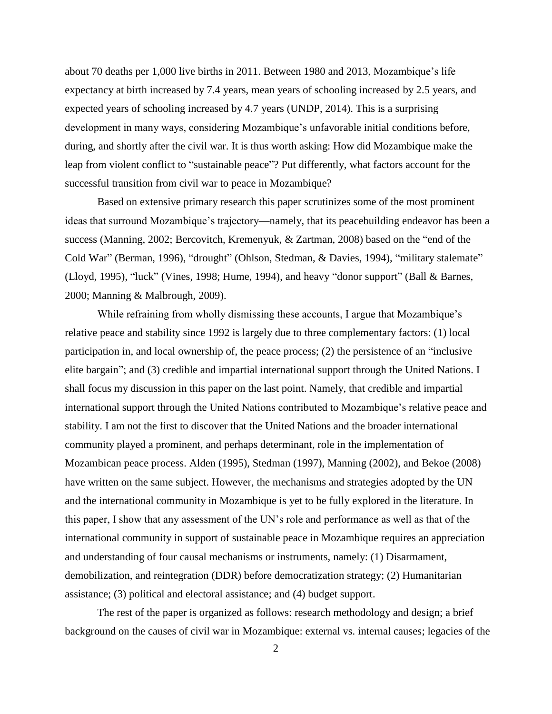about 70 deaths per 1,000 live births in 2011. Between 1980 and 2013, Mozambique's life expectancy at birth increased by 7.4 years, mean years of schooling increased by 2.5 years, and expected years of schooling increased by 4.7 years (UNDP, 2014). This is a surprising development in many ways, considering Mozambique's unfavorable initial conditions before, during, and shortly after the civil war. It is thus worth asking: How did Mozambique make the leap from violent conflict to "sustainable peace"? Put differently, what factors account for the successful transition from civil war to peace in Mozambique?

Based on extensive primary research this paper scrutinizes some of the most prominent ideas that surround Mozambique's trajectory—namely, that its peacebuilding endeavor has been a success (Manning, 2002; Bercovitch, Kremenyuk, & Zartman, 2008) based on the "end of the Cold War" (Berman, 1996), "drought" (Ohlson, Stedman, & Davies, 1994), "military stalemate" (Lloyd, 1995), "luck" (Vines, 1998; Hume, 1994), and heavy "donor support" (Ball & Barnes, 2000; Manning & Malbrough, 2009).

While refraining from wholly dismissing these accounts, I argue that Mozambique's relative peace and stability since 1992 is largely due to three complementary factors: (1) local participation in, and local ownership of, the peace process; (2) the persistence of an "inclusive elite bargain"; and (3) credible and impartial international support through the United Nations. I shall focus my discussion in this paper on the last point. Namely, that credible and impartial international support through the United Nations contributed to Mozambique's relative peace and stability. I am not the first to discover that the United Nations and the broader international community played a prominent, and perhaps determinant, role in the implementation of Mozambican peace process. Alden (1995), Stedman (1997), Manning (2002), and Bekoe (2008) have written on the same subject. However, the mechanisms and strategies adopted by the UN and the international community in Mozambique is yet to be fully explored in the literature. In this paper, I show that any assessment of the UN's role and performance as well as that of the international community in support of sustainable peace in Mozambique requires an appreciation and understanding of four causal mechanisms or instruments, namely: (1) Disarmament, demobilization, and reintegration (DDR) before democratization strategy; (2) Humanitarian assistance; (3) political and electoral assistance; and (4) budget support.

The rest of the paper is organized as follows: research methodology and design; a brief background on the causes of civil war in Mozambique: external vs. internal causes; legacies of the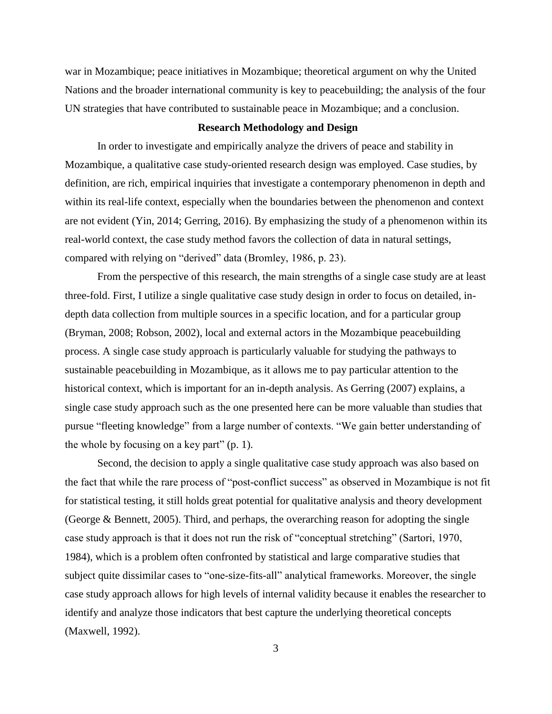war in Mozambique; peace initiatives in Mozambique; theoretical argument on why the United Nations and the broader international community is key to peacebuilding; the analysis of the four UN strategies that have contributed to sustainable peace in Mozambique; and a conclusion.

### **Research Methodology and Design**

In order to investigate and empirically analyze the drivers of peace and stability in Mozambique, a qualitative case study-oriented research design was employed. Case studies, by definition, are rich, empirical inquiries that investigate a contemporary phenomenon in depth and within its real-life context, especially when the boundaries between the phenomenon and context are not evident (Yin, 2014; Gerring, 2016). By emphasizing the study of a phenomenon within its real-world context, the case study method favors the collection of data in natural settings, compared with relying on "derived" data (Bromley, 1986, p. 23).

From the perspective of this research, the main strengths of a single case study are at least three-fold. First, I utilize a single qualitative case study design in order to focus on detailed, indepth data collection from multiple sources in a specific location, and for a particular group (Bryman, 2008; Robson, 2002), local and external actors in the Mozambique peacebuilding process. A single case study approach is particularly valuable for studying the pathways to sustainable peacebuilding in Mozambique, as it allows me to pay particular attention to the historical context, which is important for an in-depth analysis. As Gerring (2007) explains, a single case study approach such as the one presented here can be more valuable than studies that pursue "fleeting knowledge" from a large number of contexts. "We gain better understanding of the whole by focusing on a key part" (p. 1).

Second, the decision to apply a single qualitative case study approach was also based on the fact that while the rare process of "post-conflict success" as observed in Mozambique is not fit for statistical testing, it still holds great potential for qualitative analysis and theory development (George & Bennett, 2005). Third, and perhaps, the overarching reason for adopting the single case study approach is that it does not run the risk of "conceptual stretching" (Sartori, 1970, 1984), which is a problem often confronted by statistical and large comparative studies that subject quite dissimilar cases to "one-size-fits-all" analytical frameworks. Moreover, the single case study approach allows for high levels of internal validity because it enables the researcher to identify and analyze those indicators that best capture the underlying theoretical concepts (Maxwell, 1992).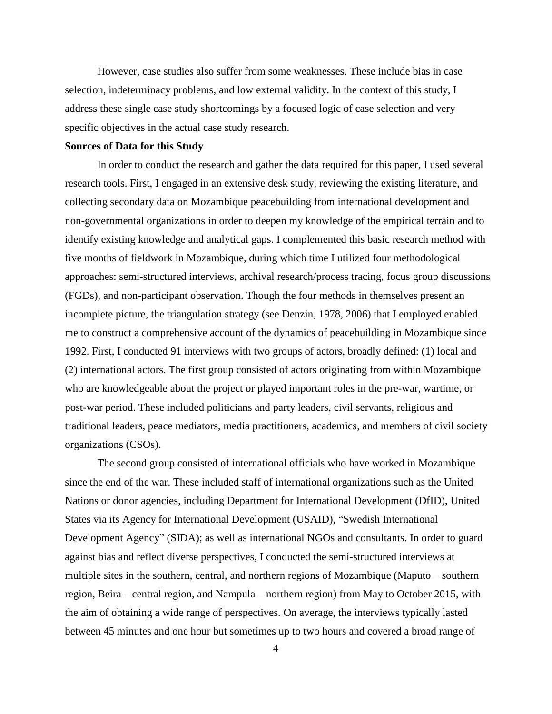However, case studies also suffer from some weaknesses. These include bias in case selection, indeterminacy problems, and low external validity. In the context of this study, I address these single case study shortcomings by a focused logic of case selection and very specific objectives in the actual case study research.

## **Sources of Data for this Study**

In order to conduct the research and gather the data required for this paper, I used several research tools. First, I engaged in an extensive desk study, reviewing the existing literature, and collecting secondary data on Mozambique peacebuilding from international development and non-governmental organizations in order to deepen my knowledge of the empirical terrain and to identify existing knowledge and analytical gaps. I complemented this basic research method with five months of fieldwork in Mozambique, during which time I utilized four methodological approaches: semi-structured interviews, archival research/process tracing, focus group discussions (FGDs), and non-participant observation. Though the four methods in themselves present an incomplete picture, the triangulation strategy (see Denzin, 1978, 2006) that I employed enabled me to construct a comprehensive account of the dynamics of peacebuilding in Mozambique since 1992. First, I conducted 91 interviews with two groups of actors, broadly defined: (1) local and (2) international actors. The first group consisted of actors originating from within Mozambique who are knowledgeable about the project or played important roles in the pre-war, wartime, or post-war period. These included politicians and party leaders, civil servants, religious and traditional leaders, peace mediators, media practitioners, academics, and members of civil society organizations (CSOs).

The second group consisted of international officials who have worked in Mozambique since the end of the war. These included staff of international organizations such as the United Nations or donor agencies, including Department for International Development (DfID), United States via its Agency for International Development (USAID), "Swedish International Development Agency" (SIDA); as well as international NGOs and consultants. In order to guard against bias and reflect diverse perspectives, I conducted the semi-structured interviews at multiple sites in the southern, central, and northern regions of Mozambique (Maputo – southern region, Beira – central region, and Nampula – northern region) from May to October 2015, with the aim of obtaining a wide range of perspectives. On average, the interviews typically lasted between 45 minutes and one hour but sometimes up to two hours and covered a broad range of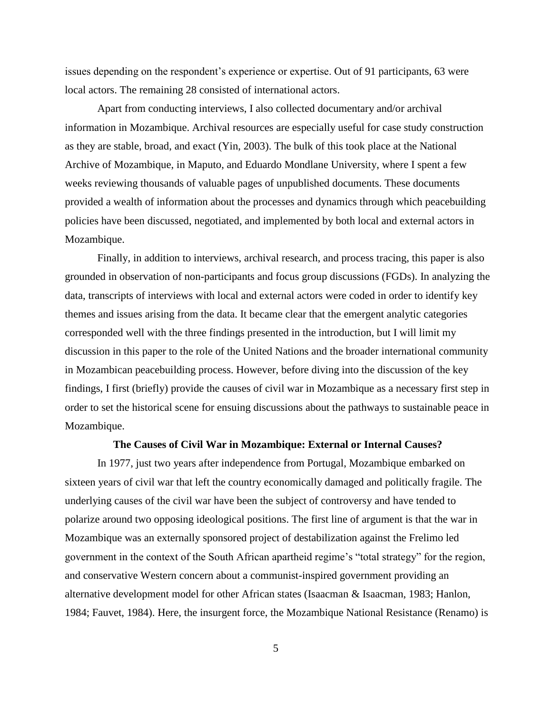issues depending on the respondent's experience or expertise. Out of 91 participants, 63 were local actors. The remaining 28 consisted of international actors.

Apart from conducting interviews, I also collected documentary and/or archival information in Mozambique. Archival resources are especially useful for case study construction as they are stable, broad, and exact (Yin, 2003). The bulk of this took place at the National Archive of Mozambique, in Maputo, and Eduardo Mondlane University, where I spent a few weeks reviewing thousands of valuable pages of unpublished documents. These documents provided a wealth of information about the processes and dynamics through which peacebuilding policies have been discussed, negotiated, and implemented by both local and external actors in Mozambique.

Finally, in addition to interviews, archival research, and process tracing, this paper is also grounded in observation of non-participants and focus group discussions (FGDs). In analyzing the data, transcripts of interviews with local and external actors were coded in order to identify key themes and issues arising from the data. It became clear that the emergent analytic categories corresponded well with the three findings presented in the introduction, but I will limit my discussion in this paper to the role of the United Nations and the broader international community in Mozambican peacebuilding process. However, before diving into the discussion of the key findings, I first (briefly) provide the causes of civil war in Mozambique as a necessary first step in order to set the historical scene for ensuing discussions about the pathways to sustainable peace in Mozambique.

### **The Causes of Civil War in Mozambique: External or Internal Causes?**

In 1977, just two years after independence from Portugal, Mozambique embarked on sixteen years of civil war that left the country economically damaged and politically fragile. The underlying causes of the civil war have been the subject of controversy and have tended to polarize around two opposing ideological positions. The first line of argument is that the war in Mozambique was an externally sponsored project of destabilization against the Frelimo led government in the context of the South African apartheid regime's "total strategy" for the region, and conservative Western concern about a communist-inspired government providing an alternative development model for other African states (Isaacman & Isaacman, 1983; Hanlon, 1984; Fauvet, 1984). Here, the insurgent force, the Mozambique National Resistance (Renamo) is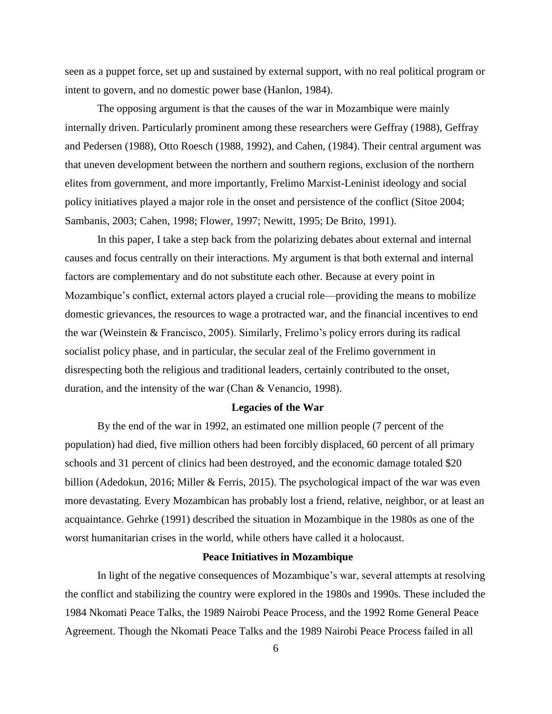seen as a puppet force, set up and sustained by external support, with no real political program or intent to govern, and no domestic power base (Hanlon, 1984).

The opposing argument is that the causes of the war in Mozambique were mainly internally driven. Particularly prominent among these researchers were Geffray (1988), Geffray and Pedersen (1988), Otto Roesch (1988, 1992), and Cahen, (1984). Their central argument was that uneven development between the northern and southern regions, exclusion of the northern elites from government, and more importantly, Frelimo Marxist-Leninist ideology and social policy initiatives played a major role in the onset and persistence of the conflict (Sitoe 2004; Sambanis, 2003; Cahen, 1998; Flower, 1997; Newitt, 1995; De Brito, 1991).

In this paper, I take a step back from the polarizing debates about external and internal causes and focus centrally on their interactions. My argument is that both external and internal factors are complementary and do not substitute each other. Because at every point in Mozambique's conflict, external actors played a crucial role—providing the means to mobilize domestic grievances, the resources to wage a protracted war, and the financial incentives to end the war (Weinstein & Francisco, 2005). Similarly, Frelimo's policy errors during its radical socialist policy phase, and in particular, the secular zeal of the Frelimo government in disrespecting both the religious and traditional leaders, certainly contributed to the onset, duration, and the intensity of the war (Chan & Venancio, 1998).

#### **Legacies of the War**

By the end of the war in 1992, an estimated one million people (7 percent of the population) had died, five million others had been forcibly displaced, 60 percent of all primary schools and 31 percent of clinics had been destroyed, and the economic damage totaled \$20 billion (Adedokun, 2016; Miller & Ferris, 2015). The psychological impact of the war was even more devastating. Every Mozambican has probably lost a friend, relative, neighbor, or at least an acquaintance. Gehrke (1991) described the situation in Mozambique in the 1980s as one of the worst humanitarian crises in the world, while others have called it a holocaust.

### **Peace Initiatives in Mozambique**

In light of the negative consequences of Mozambique's war, several attempts at resolving the conflict and stabilizing the country were explored in the 1980s and 1990s. These included the 1984 Nkomati Peace Talks, the 1989 Nairobi Peace Process, and the 1992 Rome General Peace Agreement. Though the Nkomati Peace Talks and the 1989 Nairobi Peace Process failed in all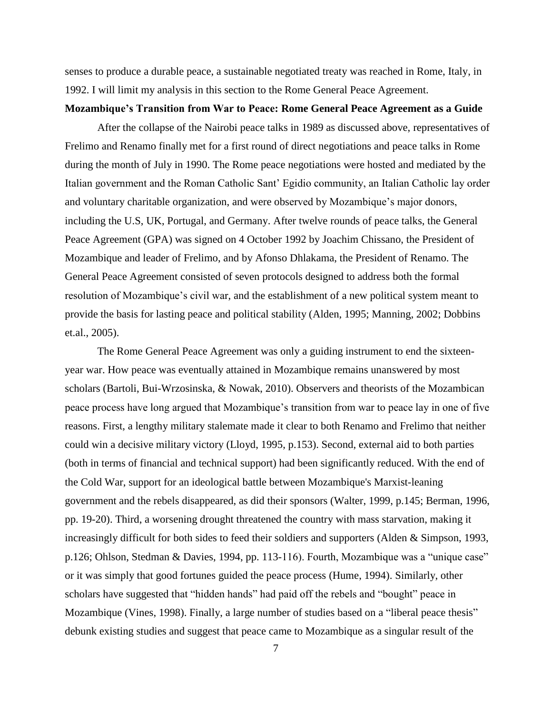senses to produce a durable peace, a sustainable negotiated treaty was reached in Rome, Italy, in 1992. I will limit my analysis in this section to the Rome General Peace Agreement.

## **Mozambique's Transition from War to Peace: Rome General Peace Agreement as a Guide**

After the collapse of the Nairobi peace talks in 1989 as discussed above, representatives of Frelimo and Renamo finally met for a first round of direct negotiations and peace talks in Rome during the month of July in 1990. The Rome peace negotiations were hosted and mediated by the Italian government and the Roman Catholic Sant' Egidio community, an Italian Catholic lay order and voluntary charitable organization, and were observed by Mozambique's major donors, including the U.S, UK, Portugal, and Germany. After twelve rounds of peace talks, the General Peace Agreement (GPA) was signed on 4 October 1992 by Joachim Chissano, the President of Mozambique and leader of Frelimo, and by Afonso Dhlakama, the President of Renamo. The General Peace Agreement consisted of seven protocols designed to address both the formal resolution of Mozambique's civil war, and the establishment of a new political system meant to provide the basis for lasting peace and political stability (Alden, 1995; Manning, 2002; Dobbins et.al., 2005).

The Rome General Peace Agreement was only a guiding instrument to end the sixteenyear war. How peace was eventually attained in Mozambique remains unanswered by most scholars (Bartoli, Bui-Wrzosinska, & Nowak, 2010). Observers and theorists of the Mozambican peace process have long argued that Mozambique's transition from war to peace lay in one of five reasons. First, a lengthy military stalemate made it clear to both Renamo and Frelimo that neither could win a decisive military victory (Lloyd, 1995, p.153). Second, external aid to both parties (both in terms of financial and technical support) had been significantly reduced. With the end of the Cold War, support for an ideological battle between Mozambique's Marxist-leaning government and the rebels disappeared, as did their sponsors (Walter, 1999, p.145; Berman, 1996, pp. 19-20). Third, a worsening drought threatened the country with mass starvation, making it increasingly difficult for both sides to feed their soldiers and supporters (Alden & Simpson, 1993, p.126; Ohlson, Stedman & Davies, 1994, pp. 113-116). Fourth, Mozambique was a "unique case" or it was simply that good fortunes guided the peace process (Hume, 1994). Similarly, other scholars have suggested that "hidden hands" had paid off the rebels and "bought" peace in Mozambique (Vines, 1998). Finally, a large number of studies based on a "liberal peace thesis" debunk existing studies and suggest that peace came to Mozambique as a singular result of the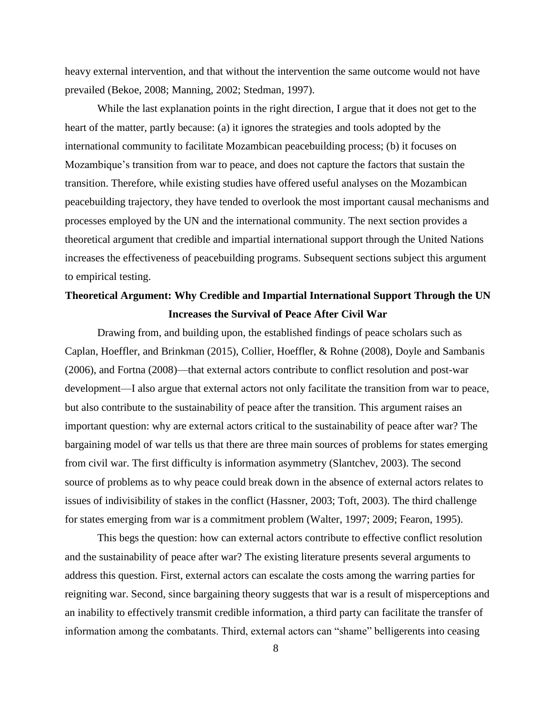heavy external intervention, and that without the intervention the same outcome would not have prevailed (Bekoe, 2008; Manning, 2002; Stedman, 1997).

While the last explanation points in the right direction, I argue that it does not get to the heart of the matter, partly because: (a) it ignores the strategies and tools adopted by the international community to facilitate Mozambican peacebuilding process; (b) it focuses on Mozambique's transition from war to peace, and does not capture the factors that sustain the transition. Therefore, while existing studies have offered useful analyses on the Mozambican peacebuilding trajectory, they have tended to overlook the most important causal mechanisms and processes employed by the UN and the international community. The next section provides a theoretical argument that credible and impartial international support through the United Nations increases the effectiveness of peacebuilding programs. Subsequent sections subject this argument to empirical testing.

## **Theoretical Argument: Why Credible and Impartial International Support Through the UN Increases the Survival of Peace After Civil War**

Drawing from, and building upon, the established findings of peace scholars such as Caplan, Hoeffler, and Brinkman (2015), Collier, Hoeffler, & Rohne (2008), Doyle and Sambanis (2006), and Fortna (2008)—that external actors contribute to conflict resolution and post-war development—I also argue that external actors not only facilitate the transition from war to peace, but also contribute to the sustainability of peace after the transition. This argument raises an important question: why are external actors critical to the sustainability of peace after war? The bargaining model of war tells us that there are three main sources of problems for states emerging from civil war. The first difficulty is information asymmetry (Slantchev, 2003). The second source of problems as to why peace could break down in the absence of external actors relates to issues of indivisibility of stakes in the conflict (Hassner, 2003; Toft, 2003). The third challenge for states emerging from war is a commitment problem (Walter, 1997; 2009; Fearon, 1995).

This begs the question: how can external actors contribute to effective conflict resolution and the sustainability of peace after war? The existing literature presents several arguments to address this question. First, external actors can escalate the costs among the warring parties for reigniting war. Second, since bargaining theory suggests that war is a result of misperceptions and an inability to effectively transmit credible information, a third party can facilitate the transfer of information among the combatants. Third, external actors can "shame" belligerents into ceasing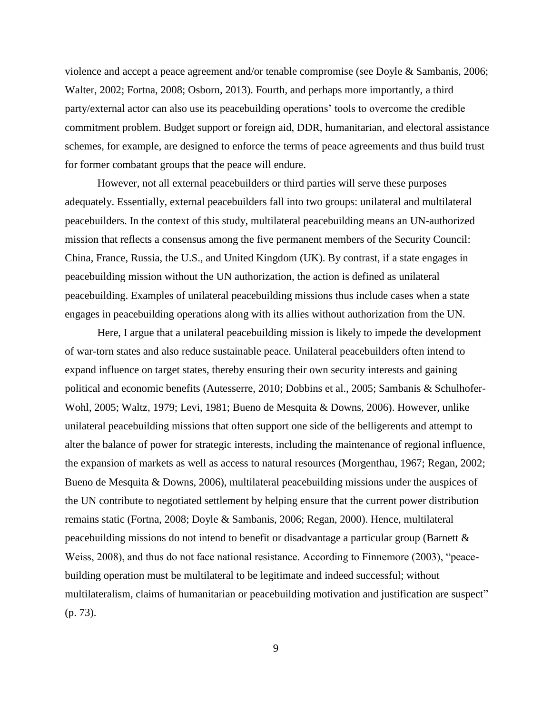violence and accept a peace agreement and/or tenable compromise (see Doyle & Sambanis, 2006; Walter, 2002; Fortna, 2008; Osborn, 2013). Fourth, and perhaps more importantly, a third party/external actor can also use its peacebuilding operations' tools to overcome the credible commitment problem. Budget support or foreign aid, DDR, humanitarian, and electoral assistance schemes, for example, are designed to enforce the terms of peace agreements and thus build trust for former combatant groups that the peace will endure.

However, not all external peacebuilders or third parties will serve these purposes adequately. Essentially, external peacebuilders fall into two groups: unilateral and multilateral peacebuilders. In the context of this study, multilateral peacebuilding means an UN-authorized mission that reflects a consensus among the five permanent members of the Security Council: China, France, Russia, the U.S., and United Kingdom (UK). By contrast, if a state engages in peacebuilding mission without the UN authorization, the action is defined as unilateral peacebuilding. Examples of unilateral peacebuilding missions thus include cases when a state engages in peacebuilding operations along with its allies without authorization from the UN.

Here, I argue that a unilateral peacebuilding mission is likely to impede the development of war-torn states and also reduce sustainable peace. Unilateral peacebuilders often intend to expand influence on target states, thereby ensuring their own security interests and gaining political and economic benefits (Autesserre, 2010; Dobbins et al., 2005; Sambanis & Schulhofer-Wohl, 2005; Waltz, 1979; Levi, 1981; Bueno de Mesquita & Downs, 2006). However, unlike unilateral peacebuilding missions that often support one side of the belligerents and attempt to alter the balance of power for strategic interests, including the maintenance of regional influence, the expansion of markets as well as access to natural resources (Morgenthau, 1967; Regan, 2002; Bueno de Mesquita & Downs, 2006), multilateral peacebuilding missions under the auspices of the UN contribute to negotiated settlement by helping ensure that the current power distribution remains static (Fortna, 2008; Doyle & Sambanis, 2006; Regan, 2000). Hence, multilateral peacebuilding missions do not intend to benefit or disadvantage a particular group (Barnett & Weiss, 2008), and thus do not face national resistance. According to Finnemore (2003), "peacebuilding operation must be multilateral to be legitimate and indeed successful; without multilateralism, claims of humanitarian or peacebuilding motivation and justification are suspect" (p. 73).

9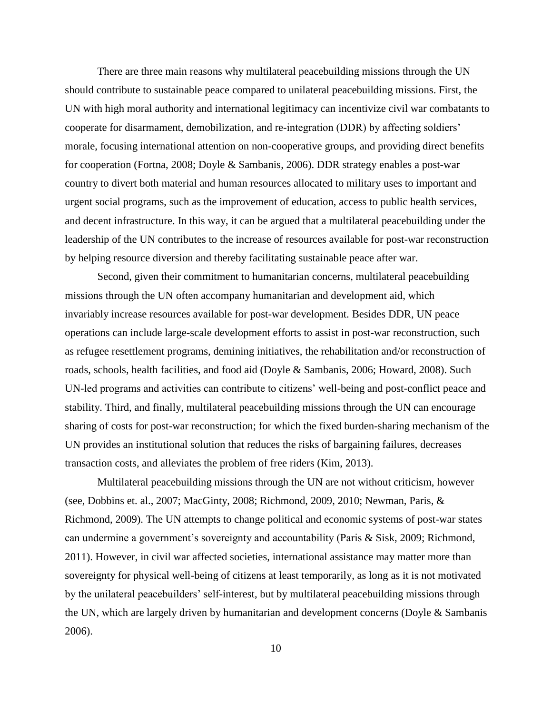There are three main reasons why multilateral peacebuilding missions through the UN should contribute to sustainable peace compared to unilateral peacebuilding missions. First, the UN with high moral authority and international legitimacy can incentivize civil war combatants to cooperate for disarmament, demobilization, and re-integration (DDR) by affecting soldiers' morale, focusing international attention on non-cooperative groups, and providing direct benefits for cooperation (Fortna, 2008; Doyle & Sambanis, 2006). DDR strategy enables a post-war country to divert both material and human resources allocated to military uses to important and urgent social programs, such as the improvement of education, access to public health services, and decent infrastructure. In this way, it can be argued that a multilateral peacebuilding under the leadership of the UN contributes to the increase of resources available for post-war reconstruction by helping resource diversion and thereby facilitating sustainable peace after war.

Second, given their commitment to humanitarian concerns, multilateral peacebuilding missions through the UN often accompany humanitarian and development aid, which invariably increase resources available for post-war development. Besides DDR, UN peace operations can include large-scale development efforts to assist in post-war reconstruction, such as refugee resettlement programs, demining initiatives, the rehabilitation and/or reconstruction of roads, schools, health facilities, and food aid (Doyle & Sambanis, 2006; Howard, 2008). Such UN-led programs and activities can contribute to citizens' well-being and post-conflict peace and stability. Third, and finally, multilateral peacebuilding missions through the UN can encourage sharing of costs for post-war reconstruction; for which the fixed burden-sharing mechanism of the UN provides an institutional solution that reduces the risks of bargaining failures, decreases transaction costs, and alleviates the problem of free riders (Kim, 2013).

Multilateral peacebuilding missions through the UN are not without criticism, however (see, Dobbins et. al., 2007; MacGinty, 2008; Richmond, 2009, 2010; Newman, Paris, & Richmond, 2009). The UN attempts to change political and economic systems of post-war states can undermine a government's sovereignty and accountability (Paris & Sisk, 2009; Richmond, 2011). However, in civil war affected societies, international assistance may matter more than sovereignty for physical well-being of citizens at least temporarily, as long as it is not motivated by the unilateral peacebuilders' self-interest, but by multilateral peacebuilding missions through the UN, which are largely driven by humanitarian and development concerns (Doyle & Sambanis 2006).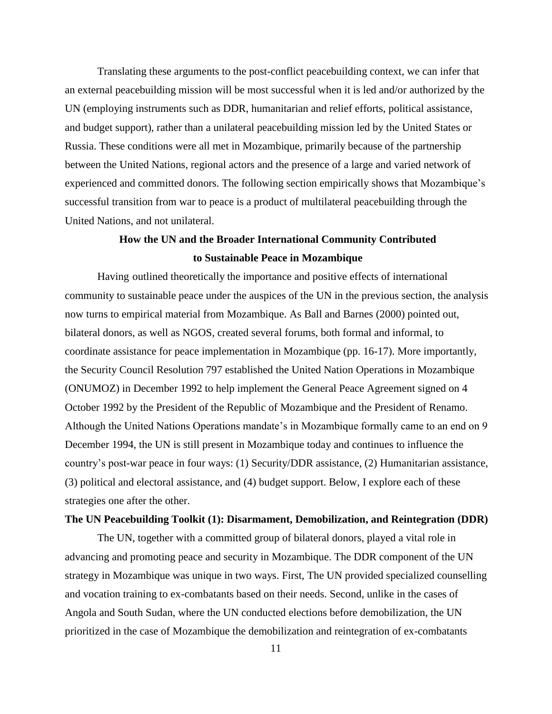Translating these arguments to the post-conflict peacebuilding context, we can infer that an external peacebuilding mission will be most successful when it is led and/or authorized by the UN (employing instruments such as DDR, humanitarian and relief efforts, political assistance, and budget support), rather than a unilateral peacebuilding mission led by the United States or Russia. These conditions were all met in Mozambique, primarily because of the partnership between the United Nations, regional actors and the presence of a large and varied network of experienced and committed donors. The following section empirically shows that Mozambique's successful transition from war to peace is a product of multilateral peacebuilding through the United Nations, and not unilateral.

## **How the UN and the Broader International Community Contributed to Sustainable Peace in Mozambique**

Having outlined theoretically the importance and positive effects of international community to sustainable peace under the auspices of the UN in the previous section, the analysis now turns to empirical material from Mozambique. As Ball and Barnes (2000) pointed out, bilateral donors, as well as NGOS, created several forums, both formal and informal, to coordinate assistance for peace implementation in Mozambique (pp. 16-17). More importantly, the Security Council Resolution 797 established the United Nation Operations in Mozambique (ONUMOZ) in December 1992 to help implement the General Peace Agreement signed on 4 October 1992 by the President of the Republic of Mozambique and the President of Renamo. Although the United Nations Operations mandate's in Mozambique formally came to an end on 9 December 1994, the UN is still present in Mozambique today and continues to influence the country's post-war peace in four ways: (1) Security/DDR assistance, (2) Humanitarian assistance, (3) political and electoral assistance, and (4) budget support. Below, I explore each of these strategies one after the other.

### **The UN Peacebuilding Toolkit (1): Disarmament, Demobilization, and Reintegration (DDR)**

The UN, together with a committed group of bilateral donors, played a vital role in advancing and promoting peace and security in Mozambique. The DDR component of the UN strategy in Mozambique was unique in two ways. First, The UN provided specialized counselling and vocation training to ex-combatants based on their needs. Second, unlike in the cases of Angola and South Sudan, where the UN conducted elections before demobilization, the UN prioritized in the case of Mozambique the demobilization and reintegration of ex-combatants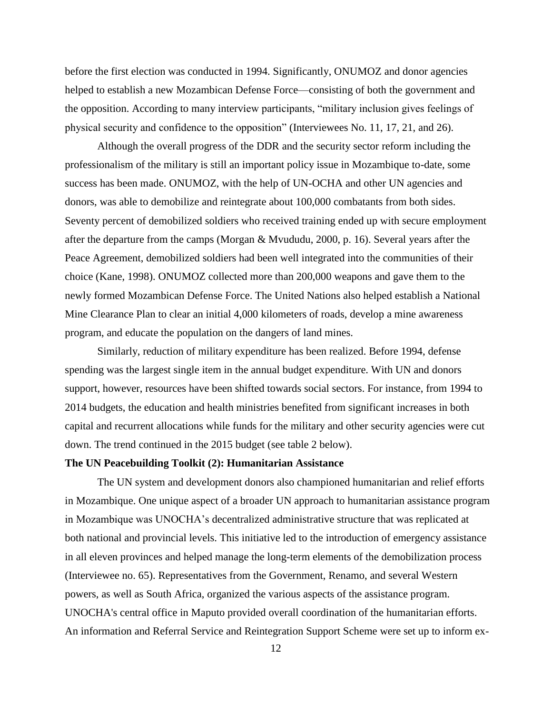before the first election was conducted in 1994. Significantly, ONUMOZ and donor agencies helped to establish a new Mozambican Defense Force—consisting of both the government and the opposition. According to many interview participants, "military inclusion gives feelings of physical security and confidence to the opposition" (Interviewees No. 11, 17, 21, and 26).

Although the overall progress of the DDR and the security sector reform including the professionalism of the military is still an important policy issue in Mozambique to-date, some success has been made. ONUMOZ, with the help of UN-OCHA and other UN agencies and donors, was able to demobilize and reintegrate about 100,000 combatants from both sides. Seventy percent of demobilized soldiers who received training ended up with secure employment after the departure from the camps (Morgan & Mvududu, 2000, p. 16). Several years after the Peace Agreement, demobilized soldiers had been well integrated into the communities of their choice (Kane, 1998). ONUMOZ collected more than 200,000 weapons and gave them to the newly formed Mozambican Defense Force. The United Nations also helped establish a National Mine Clearance Plan to clear an initial 4,000 kilometers of roads, develop a mine awareness program, and educate the population on the dangers of land mines.

Similarly, reduction of military expenditure has been realized. Before 1994, defense spending was the largest single item in the annual budget expenditure. With UN and donors support, however, resources have been shifted towards social sectors. For instance, from 1994 to 2014 budgets, the education and health ministries benefited from significant increases in both capital and recurrent allocations while funds for the military and other security agencies were cut down. The trend continued in the 2015 budget (see table 2 below).

## **The UN Peacebuilding Toolkit (2): Humanitarian Assistance**

The UN system and development donors also championed humanitarian and relief efforts in Mozambique. One unique aspect of a broader UN approach to humanitarian assistance program in Mozambique was UNOCHA's decentralized administrative structure that was replicated at both national and provincial levels. This initiative led to the introduction of emergency assistance in all eleven provinces and helped manage the long-term elements of the demobilization process (Interviewee no. 65). Representatives from the Government, Renamo, and several Western powers, as well as South Africa, organized the various aspects of the assistance program. UNOCHA's central office in Maputo provided overall coordination of the humanitarian efforts. An information and Referral Service and Reintegration Support Scheme were set up to inform ex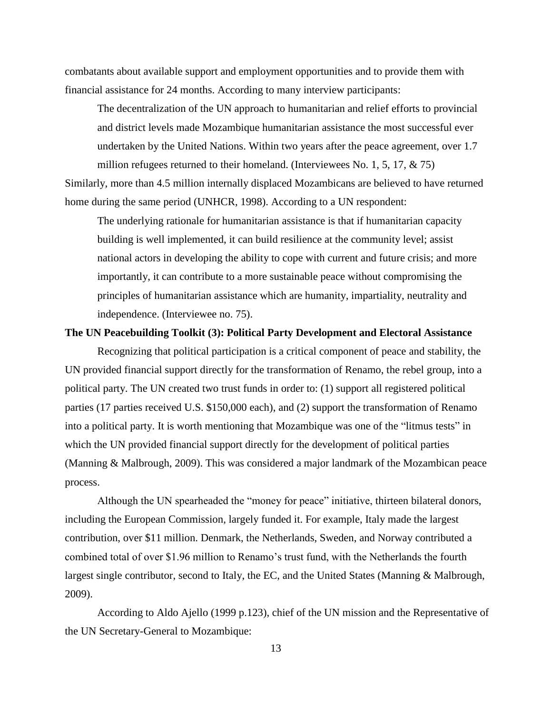combatants about available support and employment opportunities and to provide them with financial assistance for 24 months. According to many interview participants:

The decentralization of the UN approach to humanitarian and relief efforts to provincial and district levels made Mozambique humanitarian assistance the most successful ever undertaken by the United Nations. Within two years after the peace agreement, over 1.7 million refugees returned to their homeland. (Interviewees No. 1, 5, 17,  $\& 75$ )

Similarly, more than 4.5 million internally displaced Mozambicans are believed to have returned home during the same period (UNHCR, 1998). According to a UN respondent:

The underlying rationale for humanitarian assistance is that if humanitarian capacity building is well implemented, it can build resilience at the community level; assist national actors in developing the ability to cope with current and future crisis; and more importantly, it can contribute to a more sustainable peace without compromising the principles of humanitarian assistance which are humanity, impartiality, neutrality and independence. (Interviewee no. 75).

## **The UN Peacebuilding Toolkit (3): Political Party Development and Electoral Assistance**

Recognizing that political participation is a critical component of peace and stability, the UN provided financial support directly for the transformation of Renamo, the rebel group, into a political party. The UN created two trust funds in order to: (1) support all registered political parties (17 parties received U.S. \$150,000 each), and (2) support the transformation of Renamo into a political party. It is worth mentioning that Mozambique was one of the "litmus tests" in which the UN provided financial support directly for the development of political parties (Manning & Malbrough, 2009). This was considered a major landmark of the Mozambican peace process.

Although the UN spearheaded the "money for peace" initiative, thirteen bilateral donors, including the European Commission, largely funded it. For example, Italy made the largest contribution, over \$11 million. Denmark, the Netherlands, Sweden, and Norway contributed a combined total of over \$1.96 million to Renamo's trust fund, with the Netherlands the fourth largest single contributor, second to Italy, the EC, and the United States (Manning & Malbrough, 2009).

According to Aldo Ajello (1999 p.123), chief of the UN mission and the Representative of the UN Secretary-General to Mozambique: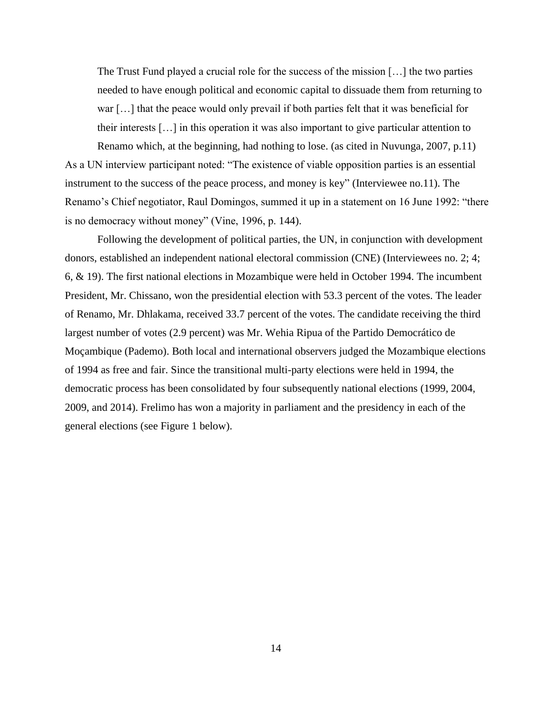The Trust Fund played a crucial role for the success of the mission […] the two parties needed to have enough political and economic capital to dissuade them from returning to war […] that the peace would only prevail if both parties felt that it was beneficial for their interests […] in this operation it was also important to give particular attention to Renamo which, at the beginning, had nothing to lose. (as cited in Nuvunga, 2007, p.11)

As a UN interview participant noted: "The existence of viable opposition parties is an essential instrument to the success of the peace process, and money is key" (Interviewee no.11). The Renamo's Chief negotiator, Raul Domingos, summed it up in a statement on 16 June 1992: "there is no democracy without money" (Vine, 1996, p. 144).

Following the development of political parties, the UN, in conjunction with development donors, established an independent national electoral commission (CNE) (Interviewees no. 2; 4; 6, & 19). The first national elections in Mozambique were held in October 1994. The incumbent President, Mr. Chissano, won the presidential election with 53.3 percent of the votes. The leader of Renamo, Mr. Dhlakama, received 33.7 percent of the votes. The candidate receiving the third largest number of votes (2.9 percent) was Mr. Wehia Ripua of the Partido Democrático de Moçambique (Pademo). Both local and international observers judged the Mozambique elections of 1994 as free and fair. Since the transitional multi-party elections were held in 1994, the democratic process has been consolidated by four subsequently national elections (1999, 2004, 2009, and 2014). Frelimo has won a majority in parliament and the presidency in each of the general elections (see Figure 1 below).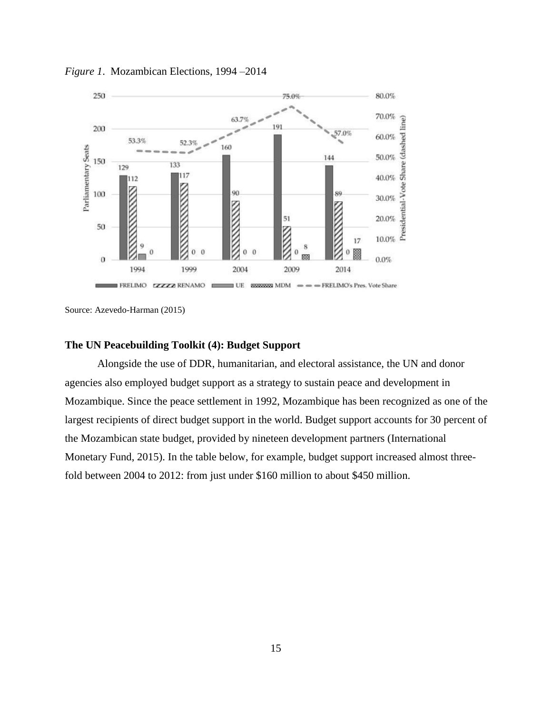

*Figure 1*. Mozambican Elections, 1994 –2014

Source: Azevedo-Harman (2015)

### **The UN Peacebuilding Toolkit (4): Budget Support**

Alongside the use of DDR, humanitarian, and electoral assistance, the UN and donor agencies also employed budget support as a strategy to sustain peace and development in Mozambique. Since the peace settlement in 1992, Mozambique has been recognized as one of the largest recipients of direct budget support in the world. Budget support accounts for 30 percent of the Mozambican state budget, provided by nineteen development partners (International Monetary Fund, 2015). In the table below, for example, budget support increased almost threefold between 2004 to 2012: from just under \$160 million to about \$450 million.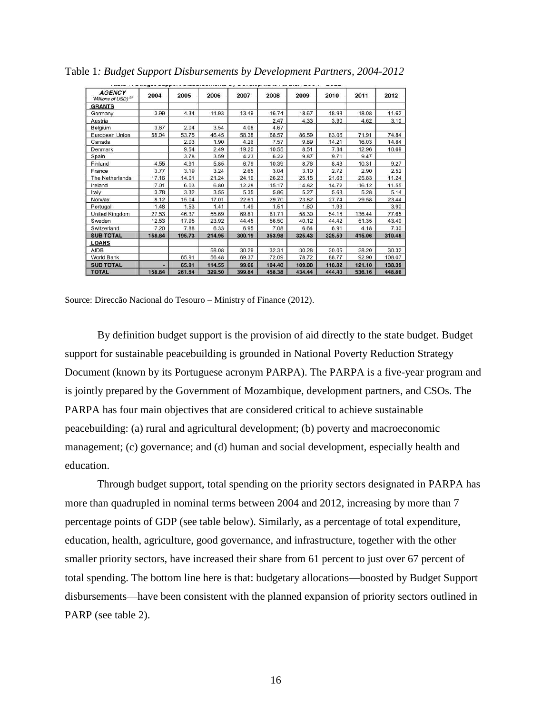| <b>AGENCY</b><br>(Millions of USD) <sup>23</sup> | 2004   | 2005   | 2006   | 2007   | 2008   | 2009   | 2010   | 2011   | 2012   |
|--------------------------------------------------|--------|--------|--------|--------|--------|--------|--------|--------|--------|
| <b>GRANTS</b>                                    |        |        |        |        |        |        |        |        |        |
| Germany                                          | 3.99   | 4.34   | 11.93  | 13.49  | 16.74  | 18.67  | 18.98  | 18.08  | 11.62  |
| Austria                                          |        |        |        |        | 2.47   | 4.33   | 3.90   | 4.62   | 3.10   |
| Belgium                                          | 3.67   | 2.04   | 3.54   | 4.08   | 4.67   |        |        |        |        |
| European Union                                   | 58.04  | 53.75  | 46.45  | 58.38  | 68.57  | 86.59  | 83.06  | 71.91  | 74.84  |
| Canada                                           |        | 2.03   | 1.90   | 4.26   | 7.57   | 9.89   | 14.21  | 16.03  | 14.84  |
| Denmark                                          |        | 9.54   | 2.49   | 19.20  | 10.55  | 8.51   | 7.34   | 12.96  | 10.69  |
| Spain                                            |        | 3.78   | 3.59   | 4.23   | 6.22   | 9.87   | 9.71   | 9.47   |        |
| Finland                                          | 4.55   | 4.91   | 5.85   | 6.79   | 10.39  | 8.76   | 8.43   | 10.31  | 9.27   |
| France                                           | 3.77   | 3.19   | 3.24   | 2.65   | 3.04   | 3.10   | 2.72   | 2.90   | 2.52   |
| The Netherlands                                  | 17.16  | 14.01  | 21.24  | 24.16  | 26.23  | 25.15  | 21.68  | 25.83  | 11.24  |
| Ireland                                          | 7.01   | 6.03   | 6.80   | 12.28  | 15.17  | 14.82  | 14.72  | 16.12  | 11.55  |
| Italy                                            | 3.78   | 3.32   | 3.55   | 5.35   | 5.86   | 5.27   | 5.68   | 5.28   | 5.14   |
| Norway                                           | 8.12   | 15.04  | 17.01  | 22.61  | 29.70  | 23.82  | 27.74  | 29.58  | 23.44  |
| Portugal                                         | 1.48   | 1.53   | 1.41   | 1.49   | 1.51   | 1.60   | 1.93   |        | 3.90   |
| United Kingdom                                   | 27.53  | 46.37  | 55.69  | 69.81  | 81.71  | 58.30  | 54.16  | 136.44 | 77.65  |
| Sweden                                           | 12.53  | 17.95  | 23.92  | 44.45  | 56.50  | 40.12  | 44.42  | 51.35  | 43.40  |
| Switzerland                                      | 7.20   | 7.88   | 6.33   | 6.95   | 7.08   | 6.64   | 6.91   | 4.18   | 7.30   |
| <b>SUB TOTAL</b>                                 | 158.84 | 195.73 | 214.95 | 300.19 | 353.98 | 325.43 | 325.59 | 415.06 | 310.48 |
| <b>LOANS</b>                                     |        |        |        |        |        |        |        |        |        |
| AfDB                                             |        |        | 58.08  | 30.29  | 32.31  | 30.28  | 30.05  | 28.20  | 30.32  |
| World Bank                                       |        | 65.91  | 56.48  | 69.37  | 72.09  | 78.72  | 88.77  | 92.90  | 108.07 |
| <b>SUB TOTAL</b>                                 | ۰      | 65.91  | 114.55 | 99.66  | 104.40 | 109.00 | 118.82 | 121.10 | 138.39 |
| <b>TOTAL</b>                                     | 158.84 | 261.64 | 329.50 | 399.84 | 458.38 | 434.44 | 444.40 | 536.16 | 448.86 |

Table 1*: Budget Support Disbursements by Development Partners, 2004-2012*

Source: Direccão Nacional do Tesouro – Ministry of Finance (2012).

By definition budget support is the provision of aid directly to the state budget. Budget support for sustainable peacebuilding is grounded in National Poverty Reduction Strategy Document (known by its Portuguese acronym PARPA). The PARPA is a five-year program and is jointly prepared by the Government of Mozambique, development partners, and CSOs. The PARPA has four main objectives that are considered critical to achieve sustainable peacebuilding: (a) rural and agricultural development; (b) poverty and macroeconomic management; (c) governance; and (d) human and social development, especially health and education.

Through budget support, total spending on the priority sectors designated in PARPA has more than quadrupled in nominal terms between 2004 and 2012, increasing by more than 7 percentage points of GDP (see table below). Similarly, as a percentage of total expenditure, education, health, agriculture, good governance, and infrastructure, together with the other smaller priority sectors, have increased their share from 61 percent to just over 67 percent of total spending. The bottom line here is that: budgetary allocations—boosted by Budget Support disbursements—have been consistent with the planned expansion of priority sectors outlined in PARP (see table 2).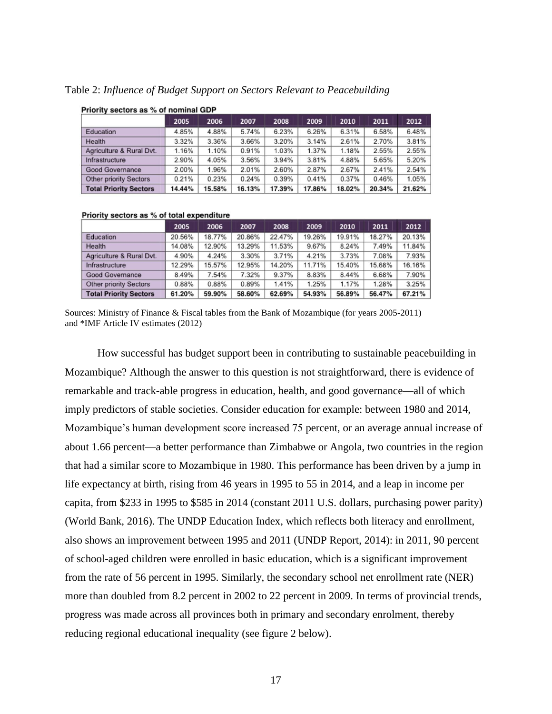| FILOTILY SECTORS AS 70 OF HOMINICAL CIDE |        |        |        |        |        |        |        |        |  |
|------------------------------------------|--------|--------|--------|--------|--------|--------|--------|--------|--|
|                                          | 2005   | 2006   | 2007   | 2008   | 2009   | 2010   | 2011   | 2012   |  |
| Education                                | 4.85%  | 4.88%  | 5.74%  | 6.23%  | 6.26%  | 6.31%  | 6.58%  | 6.48%  |  |
| Health                                   | 3.32%  | 3.36%  | 3.66%  | 3.20%  | 3.14%  | 2.61%  | 2.70%  | 3.81%  |  |
| Agriculture & Rural Dvt.                 | 1.16%  | 1.10%  | 0.91%  | 1.03%  | 1.37%  | 1.18%  | 2.55%  | 2.55%  |  |
| Infrastructure                           | 2.90%  | 4.05%  | 3.56%  | 3.94%  | 3.81%  | 4.88%  | 5.65%  | 5.20%  |  |
| Good Governance                          | 2.00%  | 1.96%  | 2.01%  | 2.60%  | 2.87%  | 2.67%  | 2.41%  | 2.54%  |  |
| <b>Other priority Sectors</b>            | 0.21%  | 0.23%  | 0.24%  | 0.39%  | 0.41%  | 0.37%  | 0.46%  | 1.05%  |  |
| <b>Total Priority Sectors</b>            | 14.44% | 15.58% | 16.13% | 17.39% | 17.86% | 18.02% | 20.34% | 21.62% |  |

Table 2: *Influence of Budget Support on Sectors Relevant to Peacebuilding*

#### Priority sectors as % of total expenditure

**Princity sectors as % of nominal GDP** 

|                               | 2005   | 2006   | 2007   | 2008   | 2009   | 2010   | 2011   | 2012   |
|-------------------------------|--------|--------|--------|--------|--------|--------|--------|--------|
| Education                     | 20.56% | 18.77% | 20.86% | 22.47% | 19.26% | 19.91% | 18.27% | 20.13% |
| Health                        | 14.08% | 12.90% | 13.29% | 11.53% | 9.67%  | 8.24%  | 7.49%  | 11.84% |
| Agriculture & Rural Dvt.      | 4.90%  | 4.24%  | 3.30%  | 3.71%  | 4.21%  | 3.73%  | 7.08%  | 7.93%  |
| Infrastructure                | 12.29% | 15.57% | 12.95% | 14.20% | 11.71% | 15.40% | 15.68% | 16.16% |
| Good Governance               | 8.49%  | 7.54%  | 7.32%  | 9.37%  | 8.83%  | 8.44%  | 6.68%  | 7.90%  |
| <b>Other priority Sectors</b> | 0.88%  | 0.88%  | 0.89%  | 1.41%  | 1.25%  | 1.17%  | 1.28%  | 3.25%  |
| <b>Total Priority Sectors</b> | 61.20% | 59.90% | 58.60% | 62.69% | 54.93% | 56.89% | 56.47% | 67.21% |

Sources: Ministry of Finance & Fiscal tables from the Bank of Mozambique (for years 2005-2011) and \*IMF Article IV estimates (2012)

How successful has budget support been in contributing to sustainable peacebuilding in Mozambique? Although the answer to this question is not straightforward, there is evidence of remarkable and track-able progress in education, health, and good governance—all of which imply predictors of stable societies. Consider education for example: between 1980 and 2014, Mozambique's human development score increased 75 percent, or an average annual increase of about 1.66 percent—a better performance than Zimbabwe or Angola, two countries in the region that had a similar score to Mozambique in 1980. This performance has been driven by a jump in life expectancy at birth, rising from 46 years in 1995 to 55 in 2014, and a leap in income per capita, from \$233 in 1995 to \$585 in 2014 (constant 2011 U.S. dollars, purchasing power parity) (World Bank, 2016). The UNDP Education Index, which reflects both literacy and enrollment, also shows an improvement between 1995 and 2011 (UNDP Report, 2014): in 2011, 90 percent of school-aged children were enrolled in basic education, which is a significant improvement from the rate of 56 percent in 1995. Similarly, the secondary school net enrollment rate (NER) more than doubled from 8.2 percent in 2002 to 22 percent in 2009. In terms of provincial trends, progress was made across all provinces both in primary and secondary enrolment, thereby reducing regional educational inequality (see figure 2 below).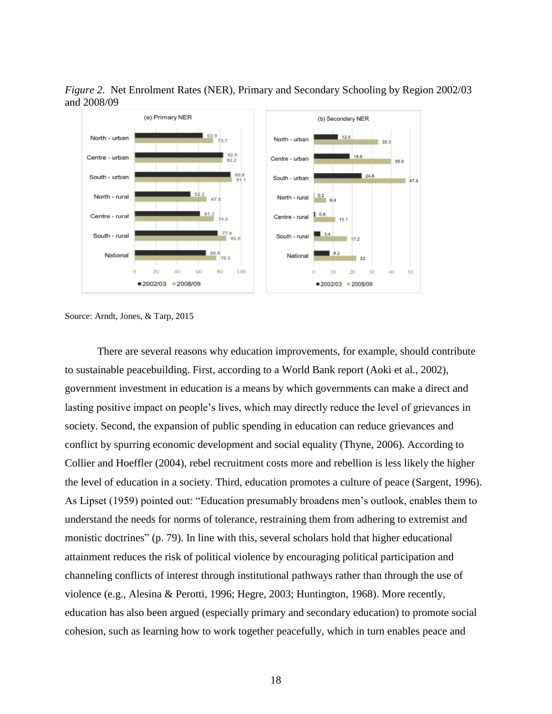*Figure 2.* Net Enrolment Rates (NER), Primary and Secondary Schooling by Region 2002/03 and 2008/09



Source: Arndt, Jones, & Tarp, 2015

There are several reasons why education improvements, for example, should contribute to sustainable peacebuilding. First, according to a World Bank report (Aoki et al., 2002), government investment in education is a means by which governments can make a direct and lasting positive impact on people's lives, which may directly reduce the level of grievances in society. Second, the expansion of public spending in education can reduce grievances and conflict by spurring economic development and social equality (Thyne, 2006). According to Collier and Hoeffler (2004), rebel recruitment costs more and rebellion is less likely the higher the level of education in a society. Third, education promotes a culture of peace (Sargent, 1996). As Lipset (1959) pointed out: "Education presumably broadens men's outlook, enables them to understand the needs for norms of tolerance, restraining them from adhering to extremist and monistic doctrines" (p. 79). In line with this, several scholars hold that higher educational attainment reduces the risk of political violence by encouraging political participation and channeling conflicts of interest through institutional pathways rather than through the use of violence (e.g., Alesina & Perotti, 1996; Hegre, 2003; Huntington, 1968). More recently, education has also been argued (especially primary and secondary education) to promote social cohesion, such as learning how to work together peacefully, which in turn enables peace and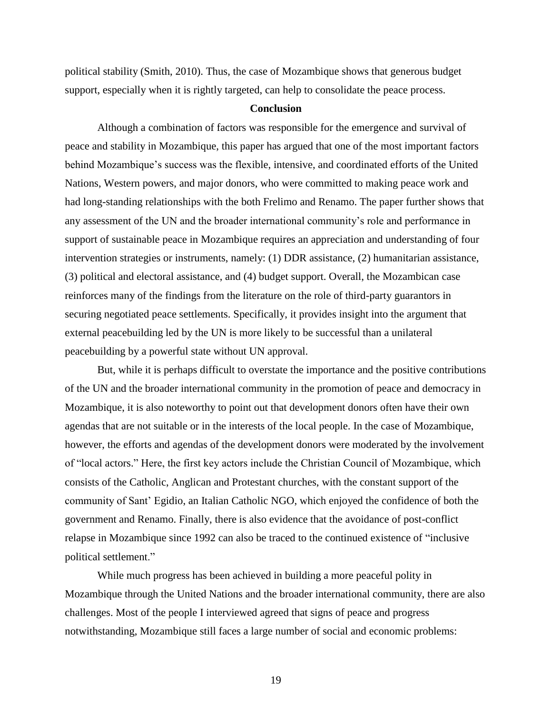political stability (Smith, 2010). Thus, the case of Mozambique shows that generous budget support, especially when it is rightly targeted, can help to consolidate the peace process.

## **Conclusion**

Although a combination of factors was responsible for the emergence and survival of peace and stability in Mozambique, this paper has argued that one of the most important factors behind Mozambique's success was the flexible, intensive, and coordinated efforts of the United Nations, Western powers, and major donors, who were committed to making peace work and had long-standing relationships with the both Frelimo and Renamo. The paper further shows that any assessment of the UN and the broader international community's role and performance in support of sustainable peace in Mozambique requires an appreciation and understanding of four intervention strategies or instruments, namely: (1) DDR assistance, (2) humanitarian assistance, (3) political and electoral assistance, and (4) budget support. Overall, the Mozambican case reinforces many of the findings from the literature on the role of third-party guarantors in securing negotiated peace settlements. Specifically, it provides insight into the argument that external peacebuilding led by the UN is more likely to be successful than a unilateral peacebuilding by a powerful state without UN approval.

But, while it is perhaps difficult to overstate the importance and the positive contributions of the UN and the broader international community in the promotion of peace and democracy in Mozambique, it is also noteworthy to point out that development donors often have their own agendas that are not suitable or in the interests of the local people. In the case of Mozambique, however, the efforts and agendas of the development donors were moderated by the involvement of "local actors." Here, the first key actors include the Christian Council of Mozambique, which consists of the Catholic, Anglican and Protestant churches, with the constant support of the community of Sant' Egidio, an Italian Catholic NGO, which enjoyed the confidence of both the government and Renamo. Finally, there is also evidence that the avoidance of post-conflict relapse in Mozambique since 1992 can also be traced to the continued existence of "inclusive political settlement."

While much progress has been achieved in building a more peaceful polity in Mozambique through the United Nations and the broader international community, there are also challenges. Most of the people I interviewed agreed that signs of peace and progress notwithstanding, Mozambique still faces a large number of social and economic problems:

19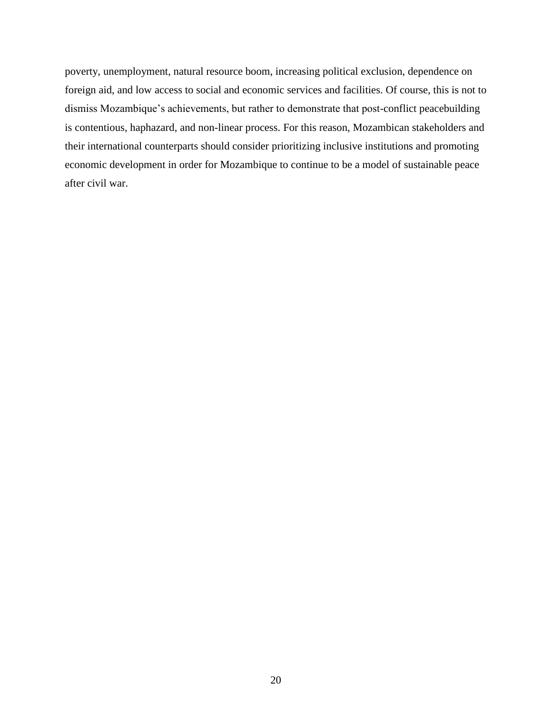poverty, unemployment, natural resource boom, increasing political exclusion, dependence on foreign aid, and low access to social and economic services and facilities. Of course, this is not to dismiss Mozambique's achievements, but rather to demonstrate that post-conflict peacebuilding is contentious, haphazard, and non-linear process. For this reason, Mozambican stakeholders and their international counterparts should consider prioritizing inclusive institutions and promoting economic development in order for Mozambique to continue to be a model of sustainable peace after civil war.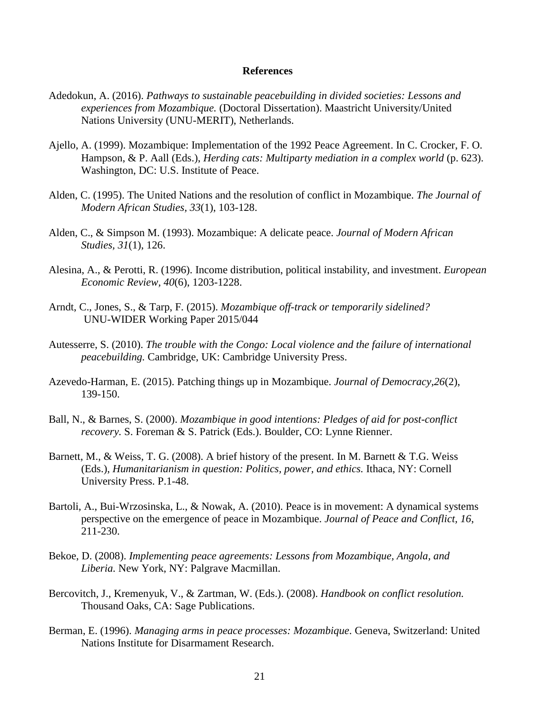### **References**

- Adedokun, A. (2016). *Pathways to sustainable peacebuilding in divided societies: Lessons and experiences from Mozambique.* (Doctoral Dissertation). Maastricht University/United Nations University (UNU-MERIT), Netherlands.
- Ajello, A. (1999). Mozambique: Implementation of the 1992 Peace Agreement. In C. Crocker, F. O. Hampson, & P. Aall (Eds.), *Herding cats: Multiparty mediation in a complex world* (p. 623). Washington, DC: U.S. Institute of Peace.
- Alden, C. (1995). The United Nations and the resolution of conflict in Mozambique. *The Journal of Modern African Studies, 33*(1), 103-128.
- Alden, C., & Simpson M. (1993). Mozambique: A delicate peace. *Journal of Modern African Studies, 31*(1), 126.
- Alesina, A., & Perotti, R. (1996). Income distribution, political instability, and investment. *European Economic Review, 40*(6), 1203-1228.
- Arndt, C., Jones, S., & Tarp, F. (2015). *Mozambique off-track or temporarily sidelined?* UNU-WIDER Working Paper 2015/044
- Autesserre, S. (2010). *The trouble with the Congo: Local violence and the failure of international peacebuilding.* Cambridge, UK: Cambridge University Press.
- Azevedo-Harman, E. (2015). Patching things up in Mozambique. *Journal of Democracy,26*(2), 139-150.
- Ball, N., & Barnes, S. (2000). *Mozambique in good intentions: Pledges of aid for post-conflict recovery.* S. Foreman & S. Patrick (Eds.). Boulder, CO: Lynne Rienner.
- Barnett, M., & Weiss, T. G. (2008). A brief history of the present. In M. Barnett & T.G. Weiss (Eds.), *Humanitarianism in question: Politics, power, and ethics.* Ithaca, NY: Cornell University Press. P.1-48.
- Bartoli, A., Bui-Wrzosinska, L., & Nowak, A. (2010). Peace is in movement: A dynamical systems perspective on the emergence of peace in Mozambique. *Journal of Peace and Conflict, 16*, 211-230.
- Bekoe, D. (2008). *Implementing peace agreements: Lessons from Mozambique, Angola, and Liberia.* New York, NY: Palgrave Macmillan.
- Bercovitch, J., Kremenyuk, V., & Zartman, W. (Eds.). (2008). *Handbook on conflict resolution.* Thousand Oaks, CA: Sage Publications.
- Berman, E. (1996). *Managing arms in peace processes: Mozambique*. Geneva, Switzerland: United Nations Institute for Disarmament Research.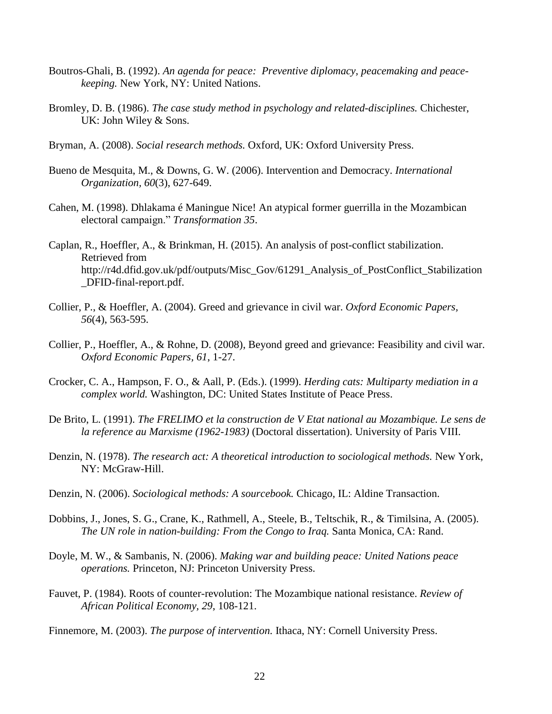- Boutros-Ghali, B. (1992). *An agenda for peace: Preventive diplomacy, peacemaking and peacekeeping.* New York, NY: United Nations.
- Bromley, D. B. (1986). *The case study method in psychology and related-disciplines.* Chichester, UK: John Wiley & Sons.
- Bryman, A. (2008). *Social research methods.* Oxford, UK: Oxford University Press.
- Bueno de Mesquita, M., & Downs, G. W. (2006). Intervention and Democracy. *International Organization, 60*(3), 627-649.
- Cahen, M. (1998). Dhlakama é Maningue Nice! An atypical former guerrilla in the Mozambican electoral campaign." *Transformation 35*.
- Caplan, R., Hoeffler, A., & Brinkman, H. (2015). An analysis of post-conflict stabilization. Retrieved from [http://r4d.dfid.gov.uk/pdf/outputs/Misc\\_Gov/61291\\_Analysis\\_of\\_PostConflict\\_Stabilization](http://r4d.dfid.gov.uk/pdf/outputs/Misc_Gov/61291_Analysis_of_PostConflict_Stabilization) \_DFID-final-report.pdf.
- Collier, P., & Hoeffler, A. (2004). Greed and grievance in civil war. *Oxford Economic Papers, 56*(4), 563-595.
- Collier, P., Hoeffler, A., & Rohne, D. (2008), Beyond greed and grievance: Feasibility and civil war. *Oxford Economic Papers, 61*, 1-27.
- Crocker, C. A., Hampson, F. O., & Aall, P. (Eds.). (1999). *Herding cats: Multiparty mediation in a complex world.* Washington, DC: United States Institute of Peace Press.
- De Brito, L. (1991). *The FRELIMO et la construction de V Etat national au Mozambique. Le sens de la reference au Marxisme (1962-1983)* (Doctoral dissertation). University of Paris VIII.
- Denzin, N. (1978). *The research act: A theoretical introduction to sociological methods.* New York, NY: McGraw-Hill.
- Denzin, N. (2006). *Sociological methods: A sourcebook.* Chicago, IL: Aldine Transaction.
- Dobbins, J., Jones, S. G., Crane, K., Rathmell, A., Steele, B., Teltschik, R., & Timilsina, A. (2005). *The UN role in nation-building: From the Congo to Iraq.* Santa Monica, CA: Rand.
- Doyle, M. W., & Sambanis, N. (2006). *Making war and building peace: United Nations peace operations.* Princeton, NJ: Princeton University Press.
- Fauvet, P. (1984). Roots of counter-revolution: The Mozambique national resistance. *Review of African Political Economy, 29*, 108-121.
- Finnemore, M. (2003). *The purpose of intervention.* Ithaca, NY: Cornell University Press.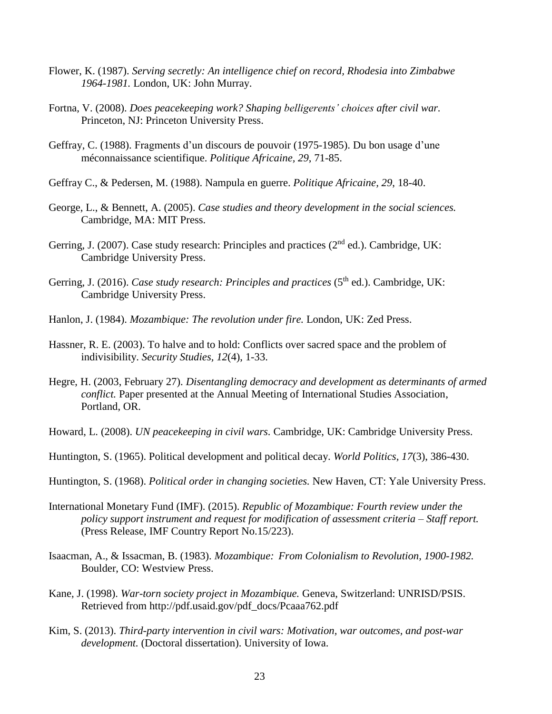- Flower, K. (1987). *Serving secretly: An intelligence chief on record, Rhodesia into Zimbabwe 1964-1981.* London, UK: John Murray.
- Fortna, V. (2008). *Does peacekeeping work? Shaping belligerents' choices after civil war.* Princeton, NJ: Princeton University Press.
- Geffray, C. (1988). Fragments d'un discours de pouvoir (1975-1985). Du bon usage d'une méconnaissance scientifique. *Politique Africaine, 29*, 71-85.
- Geffray C., & Pedersen, M. (1988). Nampula en guerre. *Politique Africaine, 29*, 18-40.
- George, L., & Bennett, A. (2005). *Case studies and theory development in the social sciences.* Cambridge, MA: MIT Press.
- Gerring, J. (2007). Case study research: Principles and practices ( $2<sup>nd</sup>$  ed.). Cambridge, UK: Cambridge University Press.
- Gerring, J. (2016). *Case study research: Principles and practices* (5<sup>th</sup> ed.). Cambridge, UK: Cambridge University Press.
- Hanlon, J. (1984). *Mozambique: The revolution under fire.* London, UK: Zed Press.
- Hassner, R. E. (2003). To halve and to hold: Conflicts over sacred space and the problem of indivisibility. *Security Studies, 12*(4), 1-33.
- Hegre, H. (2003, February 27). *Disentangling democracy and development as determinants of armed conflict.* Paper presented at the Annual Meeting of International Studies Association, Portland, OR.
- Howard, L. (2008). *UN peacekeeping in civil wars.* Cambridge, UK: Cambridge University Press.
- Huntington, S. (1965). Political development and political decay. *World Politics, 17*(3), 386-430.
- Huntington, S. (1968). *Political order in changing societies.* New Haven, CT: Yale University Press.
- International Monetary Fund (IMF). (2015). *Republic of Mozambique: Fourth review under the policy support instrument and request for modification of assessment criteria – Staff report.* (Press Release, IMF Country Report No.15/223).
- Isaacman, A., & Issacman, B. (1983). *Mozambique: From Colonialism to Revolution, 1900-1982.* Boulder, CO: Westview Press.
- Kane, J. (1998). *War-torn society project in Mozambique.* Geneva, Switzerland: UNRISD/PSIS. Retrieved from http://pdf.usaid.gov/pdf\_docs/Pcaaa762.pdf
- Kim, S. (2013). *Third-party intervention in civil wars: Motivation, war outcomes, and post-war development.* (Doctoral dissertation). University of Iowa.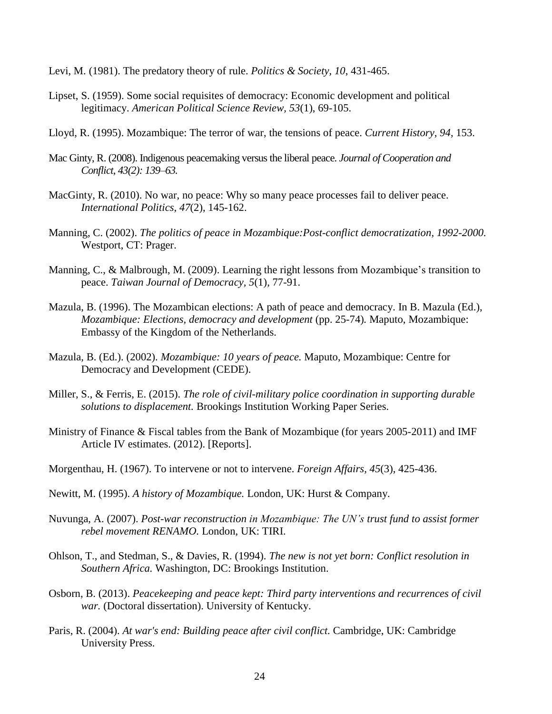- Levi, M. (1981). The predatory theory of rule. *Politics & Society, 10*, 431-465.
- Lipset, S. (1959). Some social requisites of democracy: Economic development and political legitimacy. *American Political Science Review, 53*(1), 69-105.
- Lloyd, R. (1995). Mozambique: The terror of war, the tensions of peace. *Current History, 94*, 153.
- Mac Ginty, R. (2008). Indigenous peacemaking versus the liberal peace. *Journal of Cooperation and Conflict, 43(2): 139–63.*
- MacGinty, R. (2010). No war, no peace: Why so many peace processes fail to deliver peace. *International Politics, 47*(2), 145-162.
- Manning, C. (2002). *The politics of peace in Mozambique:Post-conflict democratization, 1992-2000.* Westport, CT: Prager.
- Manning, C., & Malbrough, M. (2009). Learning the right lessons from Mozambique's transition to peace. *Taiwan Journal of Democracy, 5*(1), 77-91.
- Mazula, B. (1996). The Mozambican elections: A path of peace and democracy. In B. Mazula (Ed.), *Mozambique: Elections, democracy and development* (pp. 25-74). Maputo, Mozambique: Embassy of the Kingdom of the Netherlands.
- Mazula, B. (Ed.). (2002). *Mozambique: 10 years of peace.* Maputo, Mozambique: Centre for Democracy and Development (CEDE).
- Miller, S., & Ferris, E. (2015). *The role of civil-military police coordination in supporting durable solutions to displacement.* Brookings Institution Working Paper Series.
- Ministry of Finance & Fiscal tables from the Bank of Mozambique (for years 2005-2011) and IMF Article IV estimates. (2012). [Reports].
- Morgenthau, H. (1967). To intervene or not to intervene. *Foreign Affairs, 45*(3), 425-436.
- Newitt, M. (1995). *A history of Mozambique.* London, UK: Hurst & Company.
- Nuvunga, A. (2007). *Post-war reconstruction in Mozambique: The UN's trust fund to assist former rebel movement RENAMO.* London, UK: TIRI.
- Ohlson, T., and Stedman, S., & Davies, R. (1994). *The new is not yet born: Conflict resolution in Southern Africa.* Washington, DC: Brookings Institution.
- Osborn, B. (2013). *Peacekeeping and peace kept: Third party interventions and recurrences of civil war.* (Doctoral dissertation). University of Kentucky.
- Paris, R. (2004). *At war's end: Building peace after civil conflict.* Cambridge, UK: Cambridge University Press.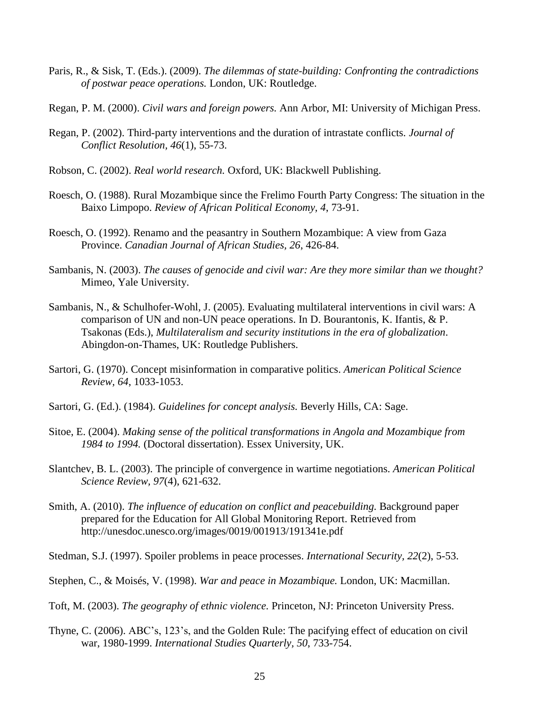- Paris, R., & Sisk, T. (Eds.). (2009). *The dilemmas of state-building: Confronting the contradictions of postwar peace operations.* London, UK: Routledge.
- Regan, P. M. (2000). *Civil wars and foreign powers.* Ann Arbor, MI: University of Michigan Press.
- Regan, P. (2002). Third-party interventions and the duration of intrastate conflicts. *Journal of Conflict Resolution, 46*(1), 55-73.
- Robson, C. (2002). *Real world research.* Oxford, UK: Blackwell Publishing.
- Roesch, O. (1988). Rural Mozambique since the Frelimo Fourth Party Congress: The situation in the Baixo Limpopo. *Review of African Political Economy, 4*, 73-91.
- Roesch, O. (1992). Renamo and the peasantry in Southern Mozambique: A view from Gaza Province. *Canadian Journal of African Studies, 26*, 426-84.
- Sambanis, N. (2003). *The causes of genocide and civil war: Are they more similar than we thought?* Mimeo, Yale University.
- Sambanis, N., & Schulhofer-Wohl, J. (2005). Evaluating multilateral interventions in civil wars: A comparison of UN and non-UN peace operations. In D. Bourantonis, K. Ifantis, & P. Tsakonas (Eds.), *Multilateralism and security institutions in the era of globalization*. Abingdon-on-Thames, UK: Routledge Publishers.
- Sartori, G. (1970). Concept misinformation in comparative politics. *American Political Science Review, 64*, 1033-1053.
- Sartori, G. (Ed.). (1984). *Guidelines for concept analysis.* Beverly Hills, CA: Sage.
- Sitoe, E. (2004). *Making sense of the political transformations in Angola and Mozambique from 1984 to 1994.* (Doctoral dissertation). Essex University, UK.
- Slantchev, B. L. (2003). The principle of convergence in wartime negotiations. *American Political Science Review, 97*(4), 621-632.
- Smith, A. (2010). *The influence of education on conflict and peacebuilding.* Background paper prepared for the Education for All Global Monitoring Report. Retrieved from http://unesdoc.unesco.org/images/0019/001913/191341e.pdf

Stedman, S.J. (1997). Spoiler problems in peace processes. *International Security, 22*(2), 5-53.

Stephen, C., & Moisés, V. (1998). *War and peace in Mozambique.* London, UK: Macmillan.

Toft, M. (2003). *The geography of ethnic violence.* Princeton, NJ: Princeton University Press.

Thyne, C. (2006). ABC's, 123's, and the Golden Rule: The pacifying effect of education on civil war, 1980-1999. *International Studies Quarterly, 50*, 733-754.